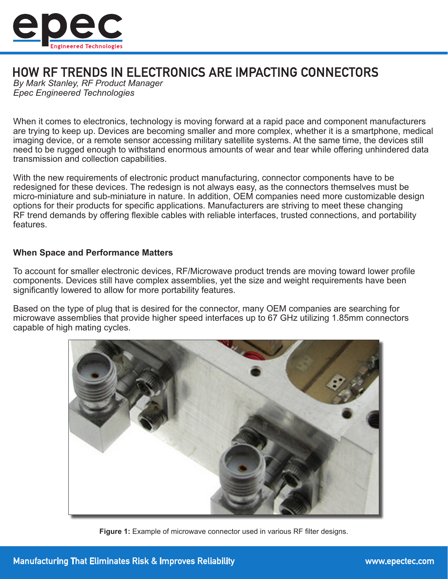

# HOW RF TRENDS IN ELECTRONICS ARE IMPACTING CONNECTORS

*By Mark Stanley, RF Product Manager Epec Engineered Technologies*

When it comes to electronics, technology is moving forward at a rapid pace and component manufacturers are trying to keep up. Devices are becoming smaller and more complex, whether it is a smartphone, medical imaging device, or a remote sensor accessing military satellite systems. At the same time, the devices still need to be rugged enough to withstand enormous amounts of wear and tear while offering unhindered data transmission and collection capabilities.

With the new requirements of electronic product manufacturing, connector components have to be redesigned for these devices. The redesign is not always easy, as the connectors themselves must be micro-miniature and sub-miniature in nature. In addition, OEM companies need more customizable design options for their products for specific applications. Manufacturers are striving to meet these changing RF trend demands by offering flexible cables with reliable interfaces, trusted connections, and portability features.

## **When Space and Performance Matters**

To account for smaller electronic devices, RF/Microwave product trends are moving toward lower profile components. Devices still have complex assemblies, yet the size and weight requirements have been significantly lowered to allow for more portability features.

Based on the type of plug that is desired for the connector, many OEM companies are searching for microwave assemblies that provide higher speed interfaces up to 67 GHz utilizing 1.85mm connectors capable of high mating cycles.



**Figure 1:** Example of microwave connector used in various RF filter designs.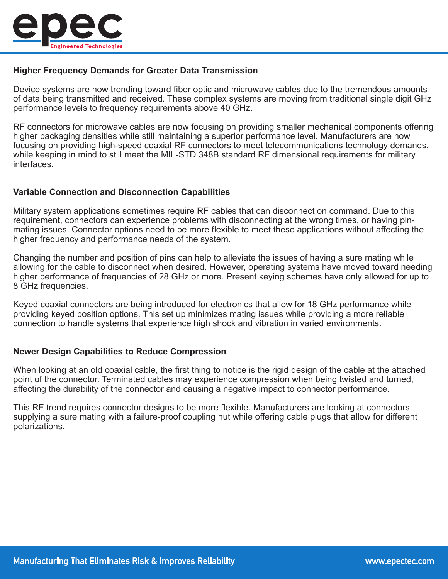

# **Higher Frequency Demands for Greater Data Transmission**

Device systems are now trending toward fiber optic and microwave cables due to the tremendous amounts of data being transmitted and received. These complex systems are moving from traditional single digit GHz performance levels to frequency requirements above 40 GHz.

RF connectors for microwave cables are now focusing on providing smaller mechanical components offering higher packaging densities while still maintaining a superior performance level. Manufacturers are now focusing on providing high-speed coaxial RF connectors to meet telecommunications technology demands, while keeping in mind to still meet the MIL-STD 348B standard RF dimensional requirements for military interfaces.

#### **Variable Connection and Disconnection Capabilities**

Military system applications sometimes require RF cables that can disconnect on command. Due to this requirement, connectors can experience problems with disconnecting at the wrong times, or having pinmating issues. Connector options need to be more flexible to meet these applications without affecting the higher frequency and performance needs of the system.

Changing the number and position of pins can help to alleviate the issues of having a sure mating while allowing for the cable to disconnect when desired. However, operating systems have moved toward needing higher performance of frequencies of 28 GHz or more. Present keying schemes have only allowed for up to 8 GHz frequencies.

Keyed coaxial connectors are being introduced for electronics that allow for 18 GHz performance while providing keyed position options. This set up minimizes mating issues while providing a more reliable connection to handle systems that experience high shock and vibration in varied environments.

# **Newer Design Capabilities to Reduce Compression**

When looking at an old coaxial cable, the first thing to notice is the rigid design of the cable at the attached point of the connector. Terminated cables may experience compression when being twisted and turned, affecting the durability of the connector and causing a negative impact to connector performance.

This RF trend requires connector designs to be more flexible. Manufacturers are looking at connectors supplying a sure mating with a failure-proof coupling nut while offering cable plugs that allow for different polarizations.